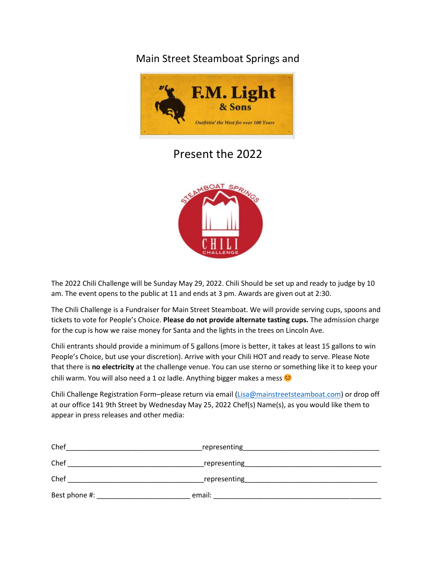## Main Street Steamboat Springs and



## Present the 2022



The 2022 Chili Challenge will be Sunday May 29, 2022. Chili Should be set up and ready to judge by 10 am. The event opens to the public at 11 and ends at 3 pm. Awards are given out at 2:30.

The Chili Challenge is a Fundraiser for Main Street Steamboat. We will provide serving cups, spoons and tickets to vote for People's Choice. **Please do not provide alternate tasting cups.** The admission charge for the cup is how we raise money for Santa and the lights in the trees on Lincoln Ave.

Chili entrants should provide a minimum of 5 gallons (more is better, it takes at least 15 gallons to win People's Choice, but use your discretion). Arrive with your Chili HOT and ready to serve. Please Note that there is **no electricity** at the challenge venue. You can use sterno or something like it to keep your chili warm. You will also need a 1 oz ladle. Anything bigger makes a mess  $\circ$ 

Chili Challenge Registration Form–please return via email [\(Lisa@mainstreetsteamboat.com\)](mailto:Lisa@mainstreetsteamboat.com) or drop off at our office 141 9th Street by Wednesday May 25, 2022 Chef(s) Name(s), as you would like them to appear in press releases and other media:

| Chef          | representing |  |
|---------------|--------------|--|
| Chef          | representing |  |
| Chef          | representing |  |
| Best phone #: | email:       |  |